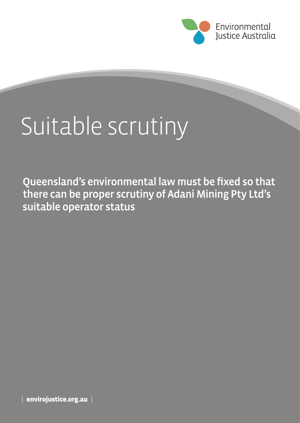

# Suitable scrutiny

Queensland's environmental law must be fixed so that there can be proper scrutiny of Adani Mining Pty Ltd's suitable operator status

| envirojustice.org.au |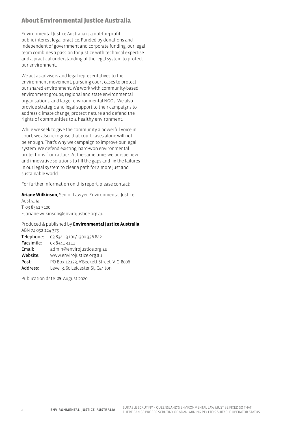## About Environmental Justice Australia

Environmental Justice Australia is a not-for-profit public interest legal practice. Funded by donations and independent of government and corporate funding, our legal team combines a passion for justice with technical expertise and a practical understanding of the legal system to protect our environment.

We act as advisers and legal representatives to the environment movement, pursuing court cases to protect our shared environment. We work with community-based environment groups, regional and state environmental organisations, and larger environmental NGOs. We also provide strategic and legal support to their campaigns to address climate change, protect nature and defend the rights of communities to a healthy environment.

While we seek to give the community a powerful voice in court, we also recognise that court cases alone will not be enough. That's why we campaign to improve our legal system. We defend existing, hard-won environmental protections from attack. At the same time, we pursue new and innovative solutions to fill the gaps and fix the failures in our legal system to clear a path for a more just and sustainable world.

For further information on this report, please contact:

#### **Ariane Wilkinson**, Senior Lawyer, Environmental Justice

Australia T: 03 8341 3100 E: ariane.wilkinson@envirojustice.org.au

Produced & published by **Environmental Justice Australia** ABN 74 052 124 375 Telephone: 03 8341 3100/1300 336 842 Facsimile: 03 8341 3111 Email: admin@envirojustice.org.au

Website: www.envirojustice.org.au Post: PO Box 12123, A'Beckett Street VIC 8006

Address: Level 3, 60 Leicester St, Carlton

Publication date: 25 August 2020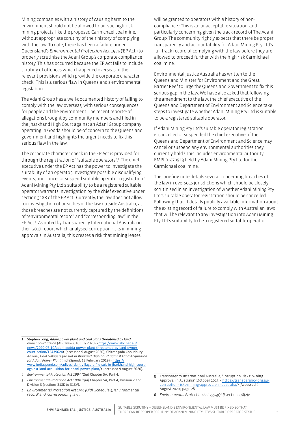Mining companies with a history of causing harm to the environment should not be allowed to pursue high-risk mining projects, like the proposed Carmichael coal mine, without appropriate scrutiny of their history of complying with the law. To date, there has been a failure under Queensland's *Environmental Protection Act 1994* ('EP Act') to properly scrutinise the Adani Group's corporate compliance history. This has occurred because the EP Act fails to include scrutiny of offences which happened overseas in the relevant provisions which provide the corporate character check. This is a serious flaw in Queensland's environmental legislation.

The Adani Group has a well-documented history of failing to comply with the law overseas, with serious consequences for people and the environment. The recent reports<sup>1</sup> of allegations brought by community members and filed in the Jharkhand High Court against an Adani Group company operating in Godda should be of concern to the Queensland government and highlights the urgent needs to fix this serious flaw in the law.

The corporate character check in the EP Act is provided for through the registration of "suitable operators".<sup>2</sup> The chief executive under the EP Act has the power to investigate the suitability of an operator, investigate possible disqualifying events, and cancel or suspend suitable operator registration.3 Adani Mining Pty Ltd's suitability to be a registered suitable operator warrants investigation by the chief executive under section 318R of the EP Act . Currently, the law does not allow for investigation of breaches of the law outside Australia, as those breaches are not currently captured by the definitions of "environmental record" and "corresponding law" in the EP Act.4 As noted by Transparency International Australia in their 2017 report which analysed corruption risks in mining approvals in Australia, this creates a risk that mining leases

will be granted to operators with a history of noncompliance.5 This is an unacceptable situation, and particularly concerning given the track-record of The Adani Group. The community rightly expects that there be proper transparency and accountability for Adani Mining Pty Ltd's full track-record of complying with the law before they are allowed to proceed further with the high risk Carmichael coal mine.

Environmental Justice Australia has written to the Queensland Minister for Environment and the Great Barrier Reef to urge the Queensland Government to fix this serious gap in the law. We have also asked that following the amendment to the law, the chief executive of the Queensland Department of Environment and Science take steps to investigate whether Adani Mining Pty Ltd is suitable to be a registered suitable operator.

If Adani Mining Pty Ltd's suitable operator registration is cancelled or suspended the chief executive of the Queensland Department of Environment and Science may cancel or suspend any environmental authorities they currently hold.<sup>6</sup> This includes environmental authority EMPL01470513 held by Adani Mining Pty Ltd for the Carmichael coal mine.

This briefing note details several concerning breaches of the law in overseas jurisdictions which should be closely scrutinised in an investigation of whether Adani Mining Pty Ltd's suitable operator registration should be cancelled. Following that, it details publicly available information about the existing record of failure to comply with Australian laws that will be relevant to any investigation into Adani Mining Pty Ltd's suitability to be a registered suitable operator.

- 1 Stephen Long, *Adani power plant and coal plans threatened by land*  owner court action (ABC News, 10 July 2020) <[https://www.abc.net.au/](https://www.abc.net.au/news/2020-07-10/adani-godda-power-plant-threatened-by-land-owner-court-action/12439624) [news/2020-07-10/adani-godda-power-plant-threatened-by-land-owner](https://www.abc.net.au/news/2020-07-10/adani-godda-power-plant-threatened-by-land-owner-court-action/12439624)[court-action/12439624>](https://www.abc.net.au/news/2020-07-10/adani-godda-power-plant-threatened-by-land-owner-court-action/12439624) (accessed 9 August 2020); Chitrangada Choudhury, *Adivasi, Dalit Villagers file suit in Jharkand High Court against Land Acquisition for Adani Power Plant* (IndiaSpend, 12 February 2019) [<https://](https://www.indiaspend.com/adivasi-dalit-villagers-file-suit-in-jharkhand-high-court-against-land-acquisition-for-adani-power-plant/) [www.indiaspend.com/adivasi-dalit-villagers-file-suit-in-jharkhand-high-court](https://www.indiaspend.com/adivasi-dalit-villagers-file-suit-in-jharkhand-high-court-against-land-acquisition-for-adani-power-plant/)[against-land-acquisition-for-adani-power-plant/>](https://www.indiaspend.com/adivasi-dalit-villagers-file-suit-in-jharkhand-high-court-against-land-acquisition-for-adani-power-plant/) (accessed 9 August 2020).
- 2 *Environmental Protection Act 1994 (Qld)* Chapter 5A, Part 4.
- 3 *Environmental Protection Act 1994 (Qld)* Chapter 5A, Part 4, Division 2 and Division 3 (sections 318K to 318V).
- 4 *Environmental Protection Act 1994 (Qld), Schedule 4, 'environmental record' and 'corresponding law'.*

<sup>5</sup> Transparency International Australia, 'Corruption Risks: Mining Approval in Australia' (October 2017) < [https://transparency.org.au/](https://transparency.org.au/corruption-risks-mining-approvals-in-australia/) [corruption-risks-mining-approvals-in-australia/](https://transparency.org.au/corruption-risks-mining-approvals-in-australia/)> (Accessed 9 August 2020), page 28.

<sup>6</sup> *Environmental Protection Act 1994(Qld)* section 278(2)e.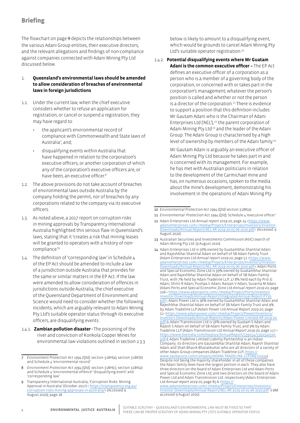## **Briefing**

The flowchart on page 9 depicts the relationships between the various Adani Group entities, their executive directors, and the relevant allegations and findings of non-compliance against companies connected with Adani Mining Pty Ltd discussed below.

- 1. **Queensland's environmental laws should be amended to allow consideration of breaches of environmental laws in foreign jurisdictions**
- 1.1. Under the current law, when the chief executive considers whether to refuse an application for registration, or cancel or suspend a registration, they may have regard to:
	- the applicant's environmental record of compliance with Commonwealth and State laws of Australia7 ; and;
	- disqualifying events within Australia that have happened in relation to the corporation's executive officers, or another corporation of which any of the corporation's executive officers are, or have been, an executive officer.<sup>8</sup>
- 1.2. The above provisions do not take account of breaches of environmental laws outside Australia by the company holding the permit, nor of breaches by any corporations related to the company via its executive officers.
- 1.3. As noted above, a 2017 report on corruption risks in mining approvals by Transparency International Australia highlighted this serious flaw in Queensland's laws, stating that it 'creates a risk that mining leases will be granted to operators with a history of noncompliance.'9
- 1.4. The definition of 'corresponding law' in Schedule 4 of the EP Act should be amended to include a law of a jurisdiction outside Australia that provides for the same or similar matters in the EP Act. If the law were amended to allow consideration of offences in jurisdictions outside Australia, the chief executive of the Queensland Department of Environment and Science would need to consider whether the following incidents, which are arguably relevant to Adani Mining Pty Ltd's suitable operator status through its executive officers, are disqualifying events:
- 1.4.1. **Zambian pollution disaster -** The poisoning of the river and conviction of Konkola Copper Mines for environmental law violations outlined in section 2.3.3

below is likely to amount to a disqualifying event, which would be grounds to cancel Adani Mining Pty Ltd's suitable operator registration.<sup>10</sup>

1.4.2. **Potential disqualifying events where Mr Guatam Adani is the common executive officer –** The EP Act defines an executive officer of a corporation as a person who is a member of a governing body of the corporation; or concerned with or takes part in the corporation's management; whatever the person's position is called and whether or not the person is a director of the corporation.<sup>11</sup> There is evidence to support a position that this definition includes Mr Gautam Adani who is the Chairman of Adani Enterprises Ltd ('AEL'), 12 the parent corporation of Adani Mining Pty Ltd<sup>13</sup> and the leader of the Adani Group. The Adani Group is characterised by a high level of ownership by members of the Adani family.14

> Mr Gautam Adani is arguably an executive officer of Adani Mining Pty Ltd because he takes part in and is concerned with its management. For example, he has met with Australian politicians in relation to the development of the Carmichael mine and has, on numerous occasions, spoken to the media about the mine's development, demonstrating his involvement in the operations of Adani Mining Pty

accessed 9 August 2020).

<sup>7</sup> *Environment Protection Act 1994 (Qld),* section 318H(a), section 318K(b) and Schedule 4 'environmental record'.

<sup>8</sup> *Environment Protection Act 1994 (Qld),* section 318H(c), section 318K(a) and Schedule 4 'environmental offence' 'disqualifying event' and 'corresponding law'.

<sup>9</sup> Transparency International Australia, 'Corruption Risks: Mining Approval in Australia' (October 2017) < [https://transparency.org.au/](https://transparency.org.au/corruption-risks-mining-approvals-in-australia/) [corruption-risks-mining-approvals-in-australia/](https://transparency.org.au/corruption-risks-mining-approvals-in-australia/)> (Accessed 9 August 2020), page 28.

<sup>10</sup> *Environmental Protection Act 1994 (Qld)* section 318K(a).

<sup>11</sup> *Environmental Protection Act 1994 (Qld),* Schedule 4 'executive officer.'

<sup>12</sup> Adani Enterprises Ltd Annual report 2019-20, page 24 [<https://www.](https://www.adanienterprises.com/-/media/Project/Enterprises/Investors/Investor-Downloads/Annual-Report/AEL-AR-2019-20-05-06-2020.pdf) [adanienterprises.com/-/media/Project/Enterprises/Investors/Investor-](https://www.adanienterprises.com/-/media/Project/Enterprises/Investors/Investor-Downloads/Annual-Report/AEL-AR-2019-20-05-06-2020.pdf)[Downloads/Annual-Report/AEL-AR-2019-20-05-06-2020.pdf>](https://www.adanienterprises.com/-/media/Project/Enterprises/Investors/Investor-Downloads/Annual-Report/AEL-AR-2019-20-05-06-2020.pdf) (Accessed 9 August 2020).

<sup>13</sup> Australian Securities and Investments Commission (ASIC) search of Adani Mining Pty Ltd. (9 August 2020)

<sup>14</sup> Adani Enterprises Ltd is 56% owned by Guatambhai Shantilal Adani and Rajeshbhai Shantilal Adani on behalf of SB Adani Family Trust (Adani Enterprises Ltd *Annual report 2019-20*, page 51 <[https://www.](https://www.adanienterprises.com/-/media/Project/Enterprises/Investors/Investor-Downloads/Annual-Report/AEL-AR-2019-20-05-06-2020.pdf) [adanienterprises.com/-/media/Project/Enterprises/Investors/Investor-](https://www.adanienterprises.com/-/media/Project/Enterprises/Investors/Investor-Downloads/Annual-Report/AEL-AR-2019-20-05-06-2020.pdf)[Downloads/Annual-Report/AEL-AR-2019-20-05-06-2020.pdf>](https://www.adanienterprises.com/-/media/Project/Enterprises/Investors/Investor-Downloads/Annual-Report/AEL-AR-2019-20-05-06-2020.pdf); Adani Ports and Special Economic Zone Ltd is 39% owned by Guatambhai Shantilal Adani and Rajeshbhai Shantilal Adani on behalf of SB Adani Family Trust, with 7% held by Adani Tradeline LLP, 17.8% held each by Priti G Adani, Shilin R Adani, Pushpa V Adani, Ranjan V Adani, Suvarna M Adani. (Adani Ports and Special Economic Zone Ltd *Annual report 2019-20*, page 226 < [https://www.adaniports.com/-/media/Project/Ports/Investor/](https://www.adaniports.com/-/media/Project/Ports/Investor/Investor-Downloads/Annual-Report/Integrated-Annual-Report-FY20.pdf) [Investor-Downloads/Annual-Report/Integrated-Annual-Report-FY20.](https://www.adaniports.com/-/media/Project/Ports/Investor/Investor-Downloads/Annual-Report/Integrated-Annual-Report-FY20.pdf) [pdf>](https://www.adaniports.com/-/media/Project/Ports/Investor/Investor-Downloads/Annual-Report/Integrated-Annual-Report-FY20.pdf); Adani Power Ltd is 36% owned by Guatambhai Shantilal Adani and Rajeshbhai Shantilal Adani on behalf of SB Adani Family Trust and 9% by Adani Tradeline LLP (Adani Power Ltd *Annual Report 2019-20*, page 51 [<https://www.adanipower.com/-/media/Project/Power/Investors/](https://www.adanipower.com/-/media/Project/Power/Investors/Investors-Downloads/Annual-Reports/Adani-Power-Limited-AR-2019-20.pdf) [Investors-Downloads/Annual-Reports/Adani-Power-Limited-AR-2019-20.](https://www.adanipower.com/-/media/Project/Power/Investors/Investors-Downloads/Annual-Reports/Adani-Power-Limited-AR-2019-20.pdf) [pdf>](https://www.adanipower.com/-/media/Project/Power/Investors/Investors-Downloads/Annual-Reports/Adani-Power-Limited-AR-2019-20.pdf)); Adani Transmission Ltd is 56% owned by Guatam S Adani and Rajesh S Adani on behalf of SB Adani Family Trust, and 9% by Adani Tradeline LLP (Adani Transmission Ltd *Annual Report 2019-20*, page 117 < [https://www.bseindia.com/bseplus/AnnualReport/539254/5392540320.](https://www.bseindia.com/bseplus/AnnualReport/539254/5392540320.pdf) [pdf>](https://www.bseindia.com/bseplus/AnnualReport/539254/5392540320.pdf)); Adani Tradeline Limited Liability Partnership is an Indian Company, its directors are Gautambhai Shantilal Adani, Rajesh Shantilal Adani and Shah Bhavik Bharatkumar who are all directors of a variety of other Adani Group companies (Adani Tradeline LLP, https:// [www.zaubacorp.com/company/ADANI-TRADELINE-LLP/AAJ-0233](https://www.zaubacorp.com/company/ADANI-TRADELINE-LLP/AAJ-0233)>) Despite not being the majority shareholder in all of these companies the Adani family does have the largest portion in each. They also have three directors on the board of Adani Enterprises Ltd and Adani Ports and Special Economic Zone Ltd, and two directors on the board of Adani Power Ltd and Adani Transmission Ltd. respectively (Adani Enterprises Ltd Annual report 2019-20, page 85-6 <https:// [www.adanienterprises.com/-/media/Project/Enterprises/Investors/](https://www.adanienterprises.com/-/media/Project/Enterprises/Investors/Investor-Downloads/Annual-Report/AEL-AR-2019-20-05-06-2020.pdf) Investor-Downloads/Annual-Report/AEL-[AR-2019-20-05-06-2020.pdf](https://www.adanienterprises.com/-/media/Project/Enterprises/Investors/Investor-Downloads/Annual-Report/AEL-AR-2019-20-05-06-2020.pdf) >) (All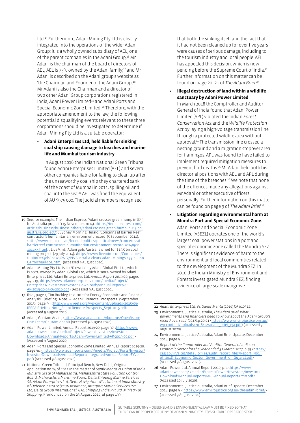Ltd.15 Furthermore, Adani Mining Pty Ltd is clearly integrated into the operations of the wider Adani Group: it is a wholly owned subsidiary of AEL, one of the parent companies in the Adani Group;<sup>16</sup> Mr Adani is the chairman of the board of directors of AEL, AEL is 75% owned by the Adani family;<sup>17</sup> and Mr Adani is described on the Adani group's website as 'the Chairman and Founder of the Adani Group'.<sup>18</sup> Mr Adani is also the Chairman and a director of two other Adani Group corporations registered in India, Adani Power Limited<sup>19</sup> and Adani Ports and Special Economic Zone Limited. 20 Therefore, with the appropriate amendment to the law, the following potential disqualifying events relevant to these three corporations should be investigated to determine if Adani Mining Pty Ltd is a suitable operator:

#### **• Adani Enterprises Ltd, held liable for sinking coal ship causing damage to beaches and marine life and Mumbai tourism industry**

In August 2016 the Indian National Green Tribunal found Adani Enterprises Limited (AEL) and several other companies liable for failing to clean up after the unseaworthy coal ship they chartered sank off the coast of Mumbai in 2011, spilling oil and coal into the sea.21 AEL was fined the equivalent of AU \$975 000. The judicial members recognised

- 17 Ibid., page 1; Tim Buckley, Institute for Energy Economics and Financial Analysis, Briefing Note – Adani: Remote Prospects (September 2015), page 9, (<http://www.ieefa.org/wp-content/uploads/2015/09/ IEEFA-Briefing-Note\_Adani-Remote-Prospects\_Sept-2015.pdf> (Accessed 9 August 2020).
- 18 Adani, Guatam Adani, [<https://www.adani.com/About-us/One-Vision-](https://www.adani.com/About-us/One-Vision-One-Team/Gautam-Adani)[One-Team/Gautam-Adani>](https://www.adani.com/About-us/One-Vision-One-Team/Gautam-Adani) (Accessed 9 August 2020)
- 19 Adani Power Limited, Annual Report 2019-20, page 37 [<https://www.](https://www.adanipower.com/-/media/Project/Power/Investors/Investors-Downloads/Annual-Reports/Adani-Power-Limited-AR-2019-20.pdf) [adanipower.com/-/media/Project/Power/Investors/Investors-](https://www.adanipower.com/-/media/Project/Power/Investors/Investors-Downloads/Annual-Reports/Adani-Power-Limited-AR-2019-20.pdf)[Downloads/Annual-Reports/Adani-Power-Limited-AR-2019-20.pdf](https://www.adanipower.com/-/media/Project/Power/Investors/Investors-Downloads/Annual-Reports/Adani-Power-Limited-AR-2019-20.pdf) > (Accessed 9 August 2020)
- 20 Adani Ports and Special Economic Zone Limited, Annual Report 2019-20, page 94. [<](file:///\\EJA-DC001\data$\Casework%20&%20Advice\Potential%20cases,%20research%20and%20prelim%20work\Adani\Suitable%20operator\%3c) [https://www.adaniports.com/-/media/Project/Ports/Investor/](https://www.adaniports.com/-/media/Project/Ports/Investor/Investor-Downloads/Annual-Report/Integrated-Annual-Report-FY20.pdf) [Investor-Downloads/Annual-Report/Integrated-Annual-Report-FY20.](https://www.adaniports.com/-/media/Project/Ports/Investor/Investor-Downloads/Annual-Report/Integrated-Annual-Report-FY20.pdf) [pdf](https://www.adaniports.com/-/media/Project/Ports/Investor/Investor-Downloads/Annual-Report/Integrated-Annual-Report-FY20.pdf)> (Accessed 9 August 2020).
- 21 National Green Tribunal, Principal Bench, New Dehli, Original Application no 24 of 2011 In the matter of *Samir Mehta vs Union of India Ministry, State of Maharashtra, Maharashtra State Pollution Control Board, Maharashtra Maritime Board, Delta Shipping Marine Services SA, Adani Enterprises Ltd, Delta Navigation WLL, Union of India Ministry of Defence, Astra Asigauri Insurance, Interport Marine Services Pvt Ltd, Delta Group International, GAC Shipping India Pvt Ltd, Ministry of Shipping*. Pronounced on the 23 August 2016, at page 199.

that both the sinking itself and the fact that it had not been cleaned up for over five years were causes of serious damage, including to the tourism industry and local people. AEL has appealed this decision, which is now pending before the Supreme Court of India.22 Further information on this matter can be found on page 20–21 of *The Adani Brief*. 23

**• Illegal destruction of land within a wildlife sanctuary by Adani Power Limited**

In March 2018 the Comptroller and Auditor General of India found that Adani Power Limited (APL) violated the Indian *Forest Conservation Act* and the *Wildlife Protection Act* by laying a high-voltage transmission line through a protected wildlife area without approval.<sup>24</sup> The transmission line crossed a nesting ground and a migration stopover area for flamingos. APL was found to have failed to implement required mitigation measures to prevent bird deaths.<sup>25</sup> Mr Adani held both his directorial positions with AEL and APL during the time of the breaches.<sup>26</sup> We note that none of the offences made any allegations against Mr Adani or other executive officers personally. Further information on this matter can be found on page 9 of *The Adani Brief*. 27

**• Litigation regarding environmental harm at Mundra Port and Special Economic Zone.** Adani Ports and Special Economic Zone Limited (ASEZL) operates one of the world's largest coal power stations in a port and special economic zone called the Mundra SEZ. There is significant evidence of harm to the environment and local communities related to the development of the Mundra SEZ. In 2010 the Indian Ministry of Environment and Forests investigated Mundra SEZ, finding evidence of large-scale mangrove

<sup>15</sup> See, for example, The Indian Express, 'Adani crosses green hump in \$7.5 bn Australia project' (15 November, 2014), [<https://indianexpress.com/](https://indianexpress.com/article/business/business-others/adani-crosses-green-hump-in-7-5-bn-australia-project/) article/business/business-others/adani-crosses-green-hump-in-7-5-b [australia-project/](https://indianexpress.com/article/business/business-others/adani-crosses-green-hump-in-7-5-bn-australia-project/)> ; Sydney Morning Herald, 'Concerns at Barrier Reef contractor's humanitarian, environment record' (5 September 2014), <[http://www.smh.com.au/federal-politics/political-news/concerns-at](http://www.smh.com.au/federal-politics/political-news/concerns-at-barrierreef-contractors-humanitarian-environment-record-20140904-10cgxk.html)[barrierreef-contractors-humanitarian-environment-record-20140904-](http://www.smh.com.au/federal-politics/political-news/concerns-at-barrierreef-contractors-humanitarian-environment-record-20140904-10cgxk.html) [10cgxk.html](http://www.smh.com.au/federal-politics/political-news/concerns-at-barrierreef-contractors-humanitarian-environment-record-20140904-10cgxk.html)> ; LiveMint, 'Adani gets Australia's nod for \$15.5 bn coal mining project' (29 July 2014), <[https://www.livemint.com/Companies/](https://www.livemint.com/Companies/fuuBoDeX9dsFe0WjGWG7PP/Australia-clears-Adani-Minings-155-billion-Carmichael-coa.html) [fuuBoDeX9dsFe0WjGWG7PP/Australia-clears-Adani-Minings-155-billion-](https://www.livemint.com/Companies/fuuBoDeX9dsFe0WjGWG7PP/Australia-clears-Adani-Minings-155-billion-Carmichael-coa.html)[Carmichael-coa.html](https://www.livemint.com/Companies/fuuBoDeX9dsFe0WjGWG7PP/Australia-clears-Adani-Minings-155-billion-Carmichael-coa.html) (accessed 9 August 2020).

<sup>16</sup> Adani Mining Pty Ltd is 100% owned by Adani Global Pte Ltd, which is 100% owned by Adani Global Ltd, which is 100% owned by Adani Enterprises Ltd. Adani Enterprises Ltd, *Annual Report 2019-20*, pages 44, 219, [<https://www.adanienterprises.com/-/media/Project/](https://www.adanienterprises.com/-/media/Project/Enterprises/Investors/Investor-Downloads/Annual-Report/AEL-AR-2019-20-05-06-2020.pdf) [Enterprises/Investors/Investor-Downloads/Annual-Report/AEL-](https://www.adanienterprises.com/-/media/Project/Enterprises/Investors/Investor-Downloads/Annual-Report/AEL-AR-2019-20-05-06-2020.pdf)[AR-2019-20-05-06-2020.pdf](https://www.adanienterprises.com/-/media/Project/Enterprises/Investors/Investor-Downloads/Annual-Report/AEL-AR-2019-20-05-06-2020.pdf) > (Accessed 9 August 2020).

<sup>22</sup> *Adani Enterprises Ltd. Vs. Samir Mehta* (2016) CA 010312.

<sup>23</sup> Environmental Justice Australia, *The Adani Brief: what governments and financiers need to know about the Adani Group's*  record overseas' (2017).p.20-21 <[https://www.envirojustice.org.au/](https://www.envirojustice.org.au/wp-content/uploads/2018/12/adani_brief_eja.pdf) [wp-content/uploads/2018/12/adani\\_brief\\_eja.pdf>](https://www.envirojustice.org.au/wp-content/uploads/2018/12/adani_brief_eja.pdf) (accessed 9 August 2020).

<sup>24</sup> Environmental Justice Australia, Adani Brief Update, December 2018, page 9.

<sup>25</sup> *Report of the Comptroller and Auditor General of India on Economic Sector for the year ended 31 March 2017, p 49 <https://* cag.gov.in/sites/default/files/audit\_report\_files/Report\_No1\_ of\_2018\_Economic\_Sector\_Government\_of\_Gujarat.pdf> (Accessed 9 August 2020).

<sup>26</sup> Adani Power Ltd, Annual Report 2010, p. 1 [<https://www.](https://www.adanipower.com/-/media/Project/Power/Investors/Investors-Downloads/Annual-Reports/APL-Annual-Report-FY10.pdf) [adanipower.com/-/media/Project/Power/Investors/Investors-](https://www.adanipower.com/-/media/Project/Power/Investors/Investors-Downloads/Annual-Reports/APL-Annual-Report-FY10.pdf)[Downloads/Annual-Reports/APL-Annual-Report-FY10.pdf](https://www.adanipower.com/-/media/Project/Power/Investors/Investors-Downloads/Annual-Reports/APL-Annual-Report-FY10.pdf) > (Accessed 10 July 2020).

<sup>27</sup> Environmental Justice Australia, Adani Brief Update, December 2018, page 9. <<https://www.envirojustice.org.au/the-adani-brief/>> (accessed 9 August 2020).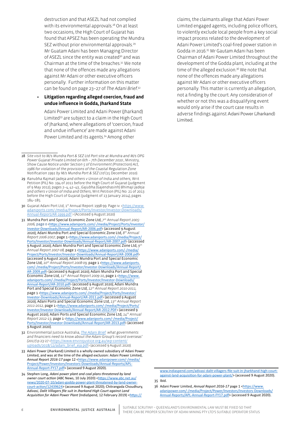destruction and that ASEZL had not complied with its environmental approvals.<sup>28</sup> On at least two occasions, the High Court of Gujarat has found that APSEZ has been operating the Mundra SEZ without prior environmental approvals.<sup>29</sup> Mr Guatam Adani has been Managing Director of ASEZL since the entity was created<sup>30</sup> and was Chairman at the time of the breaches.31 We note that none of the offences made any allegations against Mr Adani or other executive officers personally. Further information on this matter can be found on page 23–27 of *The Adani Brief*. 32

#### **• Litigation regarding alleged coercion, fraud and undue influence in Godda, Jharkand State**

Adani Power Limited and Adani Power (Jharkand) Limited33 are subject to a claim in the High Court of Jharkand, where allegations of 'coercion, fraud and undue influence' are made against Adani Power Limited and its agents.<sup>34</sup> Among other

- 32 Environmental Justice Australia, *[The Adani Brief:](https://www.envirojustice.org.au/wp-content/uploads/2018/12/adani_brief_eja.pdf) what governments and financiers need to know about the Adani Group's record overseas' (2017).*p.23-27 [<https://www.envirojustice.org.au/wp-content/](https://www.envirojustice.org.au/wp-content/uploads/2018/12/adani_brief_eja.pdf) [uploads/2018/12/adani\\_brief\\_eja.pdf](https://www.envirojustice.org.au/wp-content/uploads/2018/12/adani_brief_eja.pdf)> (accessed 9 August 2020).
- 33 Adani Power (Jharkand) Limited is a wholly owned subsidiary of Adani Power Limited, and was at the time of the alleged exclusion: Adani Power Limited, *Annual Report 2016-17* page 12 [<https://www.adanipower.com/-/media/](https://www.adanipower.com/-/media/Project/Power/Investors/Investors-Downloads/Annual-Reports/APL-Annual-Report-FY17.pdf) [Project/Power/Investors/Investors-Downloads/Annual-Reports/APL-](https://www.adanipower.com/-/media/Project/Power/Investors/Investors-Downloads/Annual-Reports/APL-Annual-Report-FY17.pdf)Annual-[Report-FY17.pdf>](https://www.adanipower.com/-/media/Project/Power/Investors/Investors-Downloads/Annual-Reports/APL-Annual-Report-FY17.pdf) (accessed 9 August 2020).
- 34 Stephen Long, *Adani power plant and coal plans threatened by land owner court action* (ABC News, 10 July 2020) <[https://www.abc.net.au/](https://www.abc.net.au/news/2020-07-10/adani-godda-power-plant-threatened-by-land-owner-court-action/12439624) [news/2020-07-10/adani-godda-power-plant-threatened-by-land-owner](https://www.abc.net.au/news/2020-07-10/adani-godda-power-plant-threatened-by-land-owner-court-action/12439624)[court-action/12439624](https://www.abc.net.au/news/2020-07-10/adani-godda-power-plant-threatened-by-land-owner-court-action/12439624)> (accessed 9 August 2020); Chitrangada Choudhury, *Adivasi, Dalit Villagers file suit in Jharkand High Court against Land Acquisition for Adani Power Plant* (IndiaSpend, 12 February 2019) <[https://](https://www.indiaspend.com/adivasi-dalit-villagers-file-suit-in-jharkhand-high-court-against-land-acquisition-for-adani-power-plant/)

claims, the claimants allege that Adani Power Limited engaged agents, including police officers, to violently exclude local people from a key social impact process related to the development of Adani Power Limited's coal-fired power station in Godda in 2016.<sup>35</sup> Mr Gautam Adani has been Chairman of Adani Power Limited throughout the development of the Godda plant, including at the time of the alleged exclusion.<sup>36</sup> We note that none of the offences made any allegations against Mr Adani or other executive officers personally. This matter is currently an allegation, not a finding by the court. Any consideration of whether or not this was a disqualifying event would only arise if the court case results in adverse findings against Adani Power (Jharkand) Limited.

[www.indiaspend.com/adivasi-dalit-villagers-file-suit-in-jharkhand-high-court](https://www.indiaspend.com/adivasi-dalit-villagers-file-suit-in-jharkhand-high-court-against-land-acquisition-for-adani-power-plant/)[against-land-acquisition-for-adani-power-plant/>](https://www.indiaspend.com/adivasi-dalit-villagers-file-suit-in-jharkhand-high-court-against-land-acquisition-for-adani-power-plant/) (accessed 9 August 2020).

**6** ENVIRONMENTAL JUSTICE AUSTRALIA SUITABLE SCRUTINY – QUEENSLAND'S ENVIRONMENTAL LAW MUST BE FIXED SO THAT THERE CAN BE PROPER SCRUTINY OF ADANI MINING PTY LTD'S SUITABLE OPERATOR STATUS

<sup>28</sup> *Site visit to M/s Mundra Port & SEZ Ltd Port site at Mundra and M/s OPG Power Gujarat Private Limited on 6th – 7th December 2010*.; Ministry, *Show Cause Notice under Section 5 of Environment (Protection) Act, 1986 for violation of the provisions of the Coastal Regulation Zone Notification 1991 by M/s Mundra Port & SEZ Ltd* (15 December 2010).

<sup>29</sup> *Ranubha Rajmali Jadeja and others v Union of India and others,* Writ Petition (PIL) No. 194 of 2011 before the High Court of Gujarat (judgment of 9 May 2012), pages 2–4, 42–43.; *Gajubha (Gajendrasinh) Bhimaji Jadeja and others v Union of India and Others*, Writ Petition (PIL) No. 21 of 2013 before the High Court of Gujarat (judgment of 13 January 2014), pages 184–185.

<sup>30</sup> Gujarat Adani Port Ltd, 1st Annual Report 1998-99. Page iv. [<https://www.](https://www.adaniports.com/-/media/Project/Ports/Investor/Investor-Downloads/Annual-Report/AR-1999.pdf) [adaniports.com/-/media/Project/Ports/Investor/Investor-Downloads/](https://www.adaniports.com/-/media/Project/Ports/Investor/Investor-Downloads/Annual-Report/AR-1999.pdf) [Annual-Report/AR-1999.pdf](https://www.adaniports.com/-/media/Project/Ports/Investor/Investor-Downloads/Annual-Report/AR-1999.pdf) > (Accessed 9 August 2020)

<sup>31</sup> Mundra Port and Special Economic Zone Ltd, *7th Annual Report 2005- 2006,* page 0 <[https://www.adaniports.com/-/media/Project/Ports/Investor/](https://www.adaniports.com/-/media/Project/Ports/Investor/Investor-Downloads/Annual-Report/AR-2006.pdf) [Investor-Downloads/Annual-Report/AR-2006.pdf](https://www.adaniports.com/-/media/Project/Ports/Investor/Investor-Downloads/Annual-Report/AR-2006.pdf)> (accessed 9 August 2020); Adani Mundra Port and Special Economic Zone Ltd, *8 th Annual Report 2006-2007,* page 1 <https://www.adaniports.com/-/media/Project, [Ports/Investor/Investor-Downloads/Annual-Report/AR-2007.pdf](https://www.adaniports.com/-/media/Project/Ports/Investor/Investor-Downloads/Annual-Report/AR-2007.pdf)> (accessed 9 August 2020); Adani Mundra Port and Special Economic Zone Ltd, *9 th* Annual Report 2007-08, page 1 <[https://www.adaniports.com/-/media/](https://www.adaniports.com/-/media/Project/Ports/Investor/Investor-Downloads/Annual-Report/AR-2008.pdf) [Project/Ports/Investor/Investor-Downloads/Annual-Report/AR-2008.pdf](https://www.adaniports.com/-/media/Project/Ports/Investor/Investor-Downloads/Annual-Report/AR-2008.pdf)> (accessed 9 August 2020); Adani Mundra Port and Special Economic Zone Ltd, *10th Annual Report 2008-09,* page 1 <[https://www.adaniports.](https://www.adaniports.com/-/media/Project/Ports/Investor/Investor-Downloads/Annual-Report/AR-2009.pdf) [com/-/media/Project/Ports/Investor/Investor-Downloads/Annual-Report/](https://www.adaniports.com/-/media/Project/Ports/Investor/Investor-Downloads/Annual-Report/AR-2009.pdf) [AR-2009.pdf](https://www.adaniports.com/-/media/Project/Ports/Investor/Investor-Downloads/Annual-Report/AR-2009.pdf)> (accessed 9 August 2020); Adani Mundra Port and Special Economic Zone Ltd, 11<sup>th</sup> Annual Report 2009-10, page 1 <[https://www.](https://www.adaniports.com/-/media/Project/Ports/Investor/Investor-Downloads/Annual-Report/AR-2010.pdf) [adaniports.com/-/media/Project/Ports/Investor/Investor-Downloads/](https://www.adaniports.com/-/media/Project/Ports/Investor/Investor-Downloads/Annual-Report/AR-2010.pdf) [Annual-Report/AR-2010.pdf](https://www.adaniports.com/-/media/Project/Ports/Investor/Investor-Downloads/Annual-Report/AR-2010.pdf)> (accessed 9 August 2020); Adani Mundra Port and Special Economic Zone Ltd, *12th Annual Report 2010-2011,*  page 1 <[https://www.adaniports.com/-/media/Project/Ports/Investor/](https://www.adaniports.com/-/media/Project/Ports/Investor/Investor-Downloads/Annual-Report/AR-2011.pdf) [Investor-Downloads/Annual-Report/AR-2011.pdf](https://www.adaniports.com/-/media/Project/Ports/Investor/Investor-Downloads/Annual-Report/AR-2011.pdf)> (accessed 9 August 2020); Adani Ports and Special Economic Zone Ltd, *13th Annual Report 2011-2012,* page 1 <[https://www.adaniports.com/-/media/Project/Ports/](https://www.adaniports.com/-/media/Project/Ports/Investor/Investor-Downloads/Annual-Report/AR-2012.PDF) [Investor/Investor-Downloads/Annual-Report/AR-2012.PDF](https://www.adaniports.com/-/media/Project/Ports/Investor/Investor-Downloads/Annual-Report/AR-2012.PDF)> (accessed 9 August 2020); Adani Ports and Special Economic Zone Ltd, *14th Annual Report 2012-13,* page 1 <[https://www.adaniports.com/-/media/Project/](https://www.adaniports.com/-/media/Project/Ports/Investor/Investor-Downloads/Annual-Report/AR-2013.pdf) [Ports/Investor/Investor-Downloads/Annual-Report/AR-2013.pdf](https://www.adaniports.com/-/media/Project/Ports/Investor/Investor-Downloads/Annual-Report/AR-2013.pdf)> (accessed 9 August 2020).

<sup>35</sup> Ibid.

<sup>36</sup> Adani Power Limited, *Annual Report 2016-17* page 1 [<https://www.](https://www.adanipower.com/-/media/Project/Power/Investors/Investors-Downloads/Annual-Reports/APL-Annual-Report-FY17.pdf) [adanipower.com/-/media/Project/Power/Investors/Investors-Downloads/](https://www.adanipower.com/-/media/Project/Power/Investors/Investors-Downloads/Annual-Reports/APL-Annual-Report-FY17.pdf) [Annual-Reports/APL-Annual-Report-FY17.pdf](https://www.adanipower.com/-/media/Project/Power/Investors/Investors-Downloads/Annual-Reports/APL-Annual-Report-FY17.pdf)> (accessed 9 August 2020).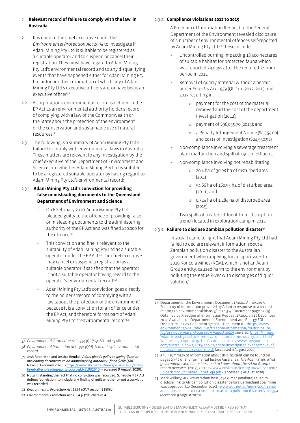- 2.1. It is open to the chief executive under the *Environmental Protection Act 1994* to investigate if Adani Mining Pty Ltd is suitable to be registered as a suitable operator and to suspend or cancel their registration. They must have regard to Adani Mining Pty Ltd's environmental record and to any disqualifying events that have happened either for Adani Mining Pty Ltd or for another corporation of which any of Adani Mining Pty Ltd's executive officers are, or have been, an executive officer. 37
- 2.2. A corporation's environmental record is defined in the EP Act as an environmental authority holder's record of complying with a law of the Commonwealth or the State about the protection of the environment or the conservation and sustainable use of natural resources.38
- 2.3. The following is a summary of Adani Mining Pty Ltd's failure to comply with environmental laws in Australia. These matters are relevant to any investigation by the chief executive of the Department of Environment and Science into whether Adani Mining Pty Ltd is suitable to be a registered suitable operator by having regard to Adani Mining Pty Ltd's environmental record:

#### 2.3.1. **Adani Mining Pty Ltd's conviction for providing false or misleading documents to the Queensland Department of Environment and Science**

- On 6 February 2020, Adani Mining Pty Ltd pleaded guilty to the offence of providing false or misleading documents to the administering authority of the EP Act and was fined \$20,000 for the offence<sup>39</sup>
- This conviction and fine is relevant to the suitability of Adani Mining Pty Ltd as a suitable operator under the EP Act.40 The chief executive may cancel or suspend a registration as a suitable operator if satisfied that the operator is not a suitable operator having regard to the operator's 'environmental record'.41
- Adani Mining Pty Ltd's conviction goes directly to the holder's 'record of complying with a law…about the protection of the environment' because it is a conviction for an offence under the EP Act, and therefore forms part of Adani Mining Pty Ltd's 'environmental record'.42

#### 2.3.2. **Compliance violations 2012 to 2015**

A Freedom of Information Request to the Federal Department of the Environment revealed disclosure of a number of environmental offences self-reported by Adani Mining Pty Ltd.43 These include:

- Uncontrolled burning impacting 18,400 hectares of suitable habitat for protected fauna which was reported 39 days after the required 24 hour period in 2012.
- Removal of quarry material without a permit under *Forestry Act 1959* (QLD) in 2012, 2013 and 2015 resulting in:
	- o payment for the cost of the material removed and the cost of the department investigation (2012);
	- o payment of \$96,035.70 (2013); and
	- o a Penalty Infringement Notice (\$4,554.00) and costs of investigation (\$24,550.92).
- Non-compliance involving a sewerage treatment plant malfunction and spill of 150L of effluent.
- Non-compliance involving not rehabilitating:
	- o 20.4 ha of 30.08 ha of disturbed area (2011);
	- o 54.66 ha of 160.55 ha of disturbed area (2011); and
	- o 0.324 ha of 1.284 ha of disturbed area (2015).
- Two spills of treated effluent from absorption trench located in exploration camp in 2012.

#### 2.3.3. **Failure to disclose Zambian pollution disaster<sup>44</sup>**

In 2015 it came to light that Adani Mining Pty Ltd had failed to declare relevant information about a Zambian pollution disaster to the Australian government when applying for an approval.45 In 2010 Koncola Mines (KCM), which is not an Adani Group entity, caused harm to the environment by polluting the Kafue River with discharges of 'liquor solution,'

<sup>37</sup> *Environmental Protection Act 1994 (Qld)* s318R and s318K

<sup>38</sup> *Environmental Protection Act 1994 (Qld), Schedule 4, 'environmental record.'*

<sup>39</sup> Josh Robertson and Jessica Rendall, *Adani pleads guilty to giving 'false or misleading documents to an administering authority', fined \$20k* (ABC News, 6 February 2020):<https://www.abc.net.au/news/2020-02-06/adani[fined-after-pleading-guilty-court-qld/11932640> \(accessed 9 August 2020\).](https://www.abc.net.au/news/2020-02-06/adani-fined-after-pleading-guilty-court-qld/11932640) 

<sup>40</sup> Notwithstanding the fact that no conviction was recorded, Schedule 4 EP Act defines 'conviction' to include any finding of guilt whether or not a conviction was recorded.

<sup>41</sup> *Environmental Protection Act 1994 (Qld)* section 318K(b).

<sup>42</sup> *Environmental Protection Act 1994 (Qld)* Schedule 4.

<sup>43</sup> Department of the Environment, Document 171001, Annexure 5: Summary of information provided by Adani in response to a request relating to environmental history,' Page 3-4. (Document page 47-49). Obtained by Freedom of Information Request 171001 on 12 December 2017. Available on Department of Environment and Energy FOI Disclosure Log as Document 171001 – Document 8 – [<https://www.](https://www.environment.gov.au/about-us/freedom-information/foi-disclosure-log/previous-years) [environment.gov.au/about-us/freedom-information/foi-disclosure](https://www.environment.gov.au/about-us/freedom-information/foi-disclosure-log/previous-years)[log/previous-years](https://www.environment.gov.au/about-us/freedom-information/foi-disclosure-log/previous-years)> (Accessed 9 August 2020); see also: Oliver Milman, 'Adani investigated over removal of material from quarry, court told' Wednesday 1 April 2015, The Guardian, <[https://www.theguardian.](https://www.theguardian.com/australia-news/2015/apr/01/adani-investigated-over-removal-of-material-from-quarry-court-told) [com/australia-news/2015/apr/01/adani-investigated-over-removal-of](https://www.theguardian.com/australia-news/2015/apr/01/adani-investigated-over-removal-of-material-from-quarry-court-told)[material-from-quarry-court-told>](https://www.theguardian.com/australia-news/2015/apr/01/adani-investigated-over-removal-of-material-from-quarry-court-told) (accessed 9 August 2020).

<sup>44</sup> A full summary of information about this incident can be found on pages 29-32 of Environmental Justice Australia's '*The Adani Brief: what governments and financiers need to know about the Adani Group's*  record overseas' (2017), <[https://www.envirojustice.org.au/wp-content/](https://www.envirojustice.org.au/wp-content/uploads/2018/12/adani_brief_eja.pdf) [uploads/2018/12/adani\\_brief\\_eja.pdf>](https://www.envirojustice.org.au/wp-content/uploads/2018/12/adani_brief_eja.pdf) (accessed 9 August 2020)

<sup>45</sup> Mark Willacy, *ABC News* 'Adani boss Jeyakumar Janakaraj failed to disclose link to African pollution disaster before Carmichael coal mine was approved' (10 December 2015), [<www.abc.net.au/news/2015-12-10/](http://www.abc.net.au/news/2015-12-10/adani-boss-failed-to-disclose-link-to-african-pollution-disaster/7012554) [adani-boss-failed-to-disclose-link-to-african-pollution-disaster/7012554>](http://www.abc.net.au/news/2015-12-10/adani-boss-failed-to-disclose-link-to-african-pollution-disaster/7012554) (Accessed 9 August 2020).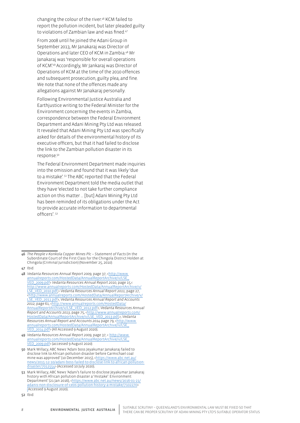changing the colour of the river.<sup>46</sup> KCM failed to report the pollution incident, but later pleaded guilty to violations of Zambian law and was fined.<sup>47</sup>

From 2008 until he joined the Adani Group in September 2013, Mr Janakaraj was Director of Operations and later CEO of KCM in Zambia.<sup>48</sup> Mr Janakaraj was 'responsible for overall operations of KCM'. <sup>49</sup> Accordingly, Mr Jankaraj was Director of Operations of KCM at the time of the 2010 offences and subsequent prosecution, guilty plea, and fine. We note that none of the offences made any allegations against Mr Janakaraj personally.

Following Environmental Justice Australia and Earthjustice writing to the Federal Minister for the Environment concerning the events in Zambia, correspondence between the Federal Environment Department and Adani Mining Pty Ltd was released. It revealed that Adani Mining Pty Ltd was specifically asked for details of the environmental history of its executive officers, but that it had failed to disclose the link to the Zambian pollution disaster in its response.<sup>50</sup>

The Federal Environment Department made inquiries into the omission and found that it was likely 'due to a mistake'. <sup>51</sup> The ABC reported that the Federal Environment Department told the media outlet that they have 'elected to not take further compliance action on this matter … [but] Adani Mining Pty Ltd has been reminded of its obligations under the Act to provide accurate information to departmental officers'. 52

47 Ibid.

- 49 *Vedanta Resources Annual Report 2009*, page 37, < [http://www.](http://www.annualreports.com/HostedData/AnnualReportArchive/v/LSE_VED_2009.pdf) [annualreports.com/HostedData/AnnualReportArchive/v/LSE\\_](http://www.annualreports.com/HostedData/AnnualReportArchive/v/LSE_VED_2009.pdf) [VED\\_2009.pdf>](http://www.annualreports.com/HostedData/AnnualReportArchive/v/LSE_VED_2009.pdf) (accessed 9 August 2020).
- 50 Mark Willacy, ABC News 'Adani boss Jeyakumar Janakaraj failed to disclose link to African pollution disaster before Carmichael coal mine was approved' (10 December 2015), [<https://www.abc.net.au/](https://www.abc.net.au/news/2015-12-10/adani-boss-failed-to-disclose-link-to-african-pollution-disaster/7012554) [news/2015-12-10/adani-boss-failed-to-disclose-link-to-african-pollution](https://www.abc.net.au/news/2015-12-10/adani-boss-failed-to-disclose-link-to-african-pollution-disaster/7012554)[disaster/7012554](https://www.abc.net.au/news/2015-12-10/adani-boss-failed-to-disclose-link-to-african-pollution-disaster/7012554)> (Accessed 10 July 2020).
- 51 Mark Willacy, ABC News 'Adani's failure to disclose Jeyakumar Janakaraj history with African pollution disaster a 'mistake': Environment Department' (21 Jan 2016), <[https://www.abc.net.au/news/2016-01-21/](https://www.abc.net.au/news/2016-01-21/adanis-non-disclosure-of-ceos-pollution-history-a-mistake/7102270) [adanis-non-disclosure-of-ceos-pollution-history-a-mistake/7102270](https://www.abc.net.au/news/2016-01-21/adanis-non-disclosure-of-ceos-pollution-history-a-mistake/7102270)> (Accessed 9 August 2020).

52 Ibid.

<sup>46</sup> *The People v Konkola Copper Mines Plc – Statement of Facts* (In the Subordinate Court of the First Class for the Chingola District Holden at Chingola (Criminal Jurisdiction) (November 25, 2010).

<sup>48</sup> *Vedanta Resources Annual Report 2009*, page 37, [<http://www.](http://www.annualreports.com/HostedData/AnnualReportArchive/v/LSE_VED_2009.pdf) [annualreports.com/HostedData/AnnualReportArchive/v/LSE\\_](http://www.annualreports.com/HostedData/AnnualReportArchive/v/LSE_VED_2009.pdf) [VED\\_2009.pdf>](http://www.annualreports.com/HostedData/AnnualReportArchive/v/LSE_VED_2009.pdf) *Vedanta Resources Annual Report 2010*, page 15,< [http://www.annualreports.com/HostedData/AnnualReportArchive/v/](http://www.annualreports.com/HostedData/AnnualReportArchive/v/LSE_VED_2010.pdf) [LSE\\_VED\\_2010.pdf](http://www.annualreports.com/HostedData/AnnualReportArchive/v/LSE_VED_2010.pdf);> *Vedanta Resources Annual Report 2011*, page 27, <[http://www.annualreports.com/HostedData/AnnualReportArchive/v/](http://www.annualreports.com/HostedData/AnnualReportArchive/v/LSE_VED_2011.pdf) [LSE\\_VED\\_2011.pdf](http://www.annualreports.com/HostedData/AnnualReportArchive/v/LSE_VED_2011.pdf)>; *Vedanta Resources Annual Report and Accounts*  2012, page 61, <http://www.annualreports.com/HostedData [AnnualReportArchive/v/LSE\\_VED\\_2012.pdf>](http://www.annualreports.com/HostedData/AnnualReportArchive/v/LSE_VED_2012.pdf); *Vedanta Resources Annual Report and Accounts 2013*, page 75, <[http://www.annualreports.com/](http://www.annualreports.com/HostedData/AnnualReportArchive/v/LSE_VED_2013.pdf) [HostedData/AnnualReportArchive/v/LSE\\_VED\\_2013.pdf,](http://www.annualreports.com/HostedData/AnnualReportArchive/v/LSE_VED_2013.pdf)>; *Vedanta Resources Annual Report and Accounts 2014* page 79, [<http://www.](http://www.annualreports.com/HostedData/AnnualReportArchive/v/LSE_VED_2014.pdf) [annualreports.com/HostedData/AnnualReportArchive/v/LSE\\_](http://www.annualreports.com/HostedData/AnnualReportArchive/v/LSE_VED_2014.pdf) [VED\\_2014.pdf>](http://www.annualreports.com/HostedData/AnnualReportArchive/v/LSE_VED_2014.pdf) (All Accessed 9 August 2020).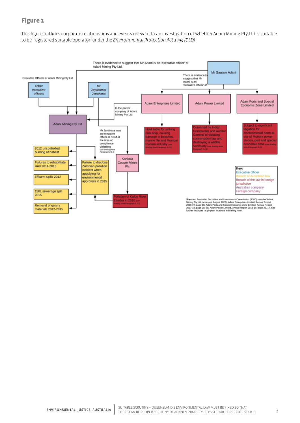### Figure 1

This figure outlines corporate relationships and events relevant to an investigation of whether Adani Mining Pty Ltd is suitable to be 'registered suitable operator' under the *Environmental Protection Act 1994 (QLD)*